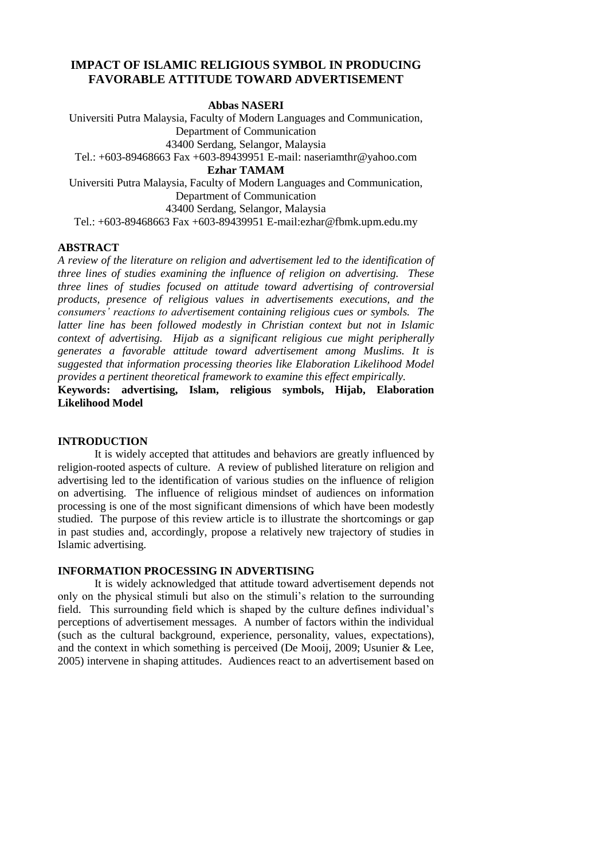# **IMPACT OF ISLAMIC RELIGIOUS SYMBOL IN PRODUCING FAVORABLE ATTITUDE TOWARD ADVERTISEMENT**

**Abbas NASERI**

Universiti Putra Malaysia, Faculty of Modern Languages and Communication, Department of Communication 43400 Serdang, Selangor, Malaysia Tel.: +603-89468663 Fax +603-89439951 E-mail: [naseriamthr@yahoo.com](mailto:naseriamthr@yahoo.com) **Ezhar TAMAM** Universiti Putra Malaysia, Faculty of Modern Languages and Communication, Department of Communication

43400 Serdang, Selangor, Malaysia

Tel.: +603-89468663 Fax +603-89439951 E-mail[:ezhar@fbmk.upm.edu.my](mailto:ezhar@fbmk.upm.edu.my)

### **ABSTRACT**

*A review of the literature on religion and advertisement led to the identification of three lines of studies examining the influence of religion on advertising. These three lines of studies focused on attitude toward advertising of controversial products, presence of religious values in advertisements executions, and the consumers' reactions to advertisement containing religious cues or symbols. The latter line has been followed modestly in Christian context but not in Islamic context of advertising. Hijab as a significant religious cue might peripherally generates a favorable attitude toward advertisement among Muslims. It is suggested that information processing theories like Elaboration Likelihood Model provides a pertinent theoretical framework to examine this effect empirically.* 

**Keywords: advertising, Islam, religious symbols, Hijab, Elaboration Likelihood Model** 

## **INTRODUCTION**

It is widely accepted that attitudes and behaviors are greatly influenced by religion-rooted aspects of culture. A review of published literature on religion and advertising led to the identification of various studies on the influence of religion on advertising. The influence of religious mindset of audiences on information processing is one of the most significant dimensions of which have been modestly studied. The purpose of this review article is to illustrate the shortcomings or gap in past studies and, accordingly, propose a relatively new trajectory of studies in Islamic advertising.

## **INFORMATION PROCESSING IN ADVERTISING**

It is widely acknowledged that attitude toward advertisement depends not only on the physical stimuli but also on the stimuli's relation to the surrounding field. This surrounding field which is shaped by the culture defines individual's perceptions of advertisement messages. A number of factors within the individual (such as the cultural background, experience, personality, values, expectations), and the context in which something is perceived (De Mooij, 2009; Usunier & Lee, 2005) intervene in shaping attitudes. Audiences react to an advertisement based on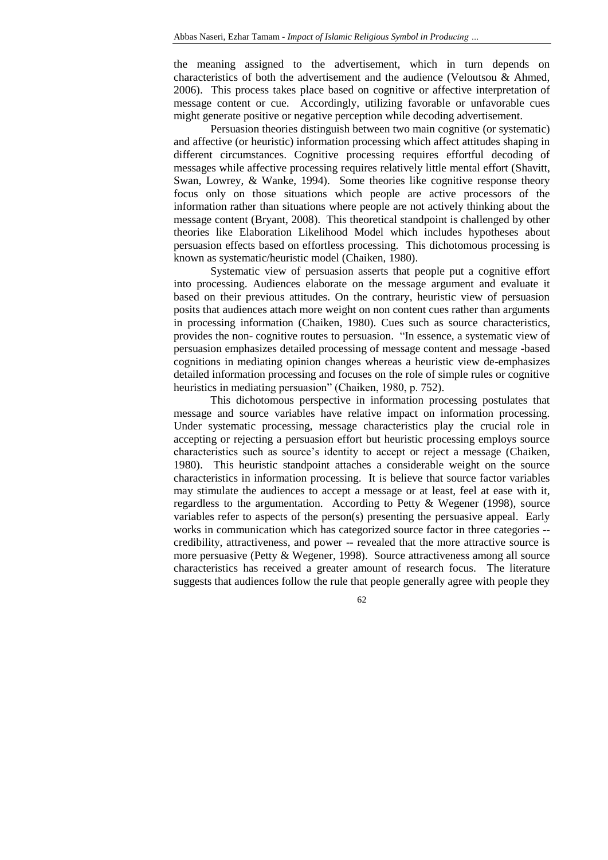the meaning assigned to the advertisement, which in turn depends on characteristics of both the advertisement and the audience (Veloutsou & Ahmed, 2006). This process takes place based on cognitive or affective interpretation of message content or cue. Accordingly, utilizing favorable or unfavorable cues might generate positive or negative perception while decoding advertisement.

Persuasion theories distinguish between two main cognitive (or systematic) and affective (or heuristic) information processing which affect attitudes shaping in different circumstances. Cognitive processing requires effortful decoding of messages while affective processing requires relatively little mental effort (Shavitt, Swan, Lowrey, & Wanke, 1994). Some theories like cognitive response theory focus only on those situations which people are active processors of the information rather than situations where people are not actively thinking about the message content (Bryant, 2008). This theoretical standpoint is challenged by other theories like Elaboration Likelihood Model which includes hypotheses about persuasion effects based on effortless processing. This dichotomous processing is known as systematic/heuristic model (Chaiken, 1980).

Systematic view of persuasion asserts that people put a cognitive effort into processing. Audiences elaborate on the message argument and evaluate it based on their previous attitudes. On the contrary, heuristic view of persuasion posits that audiences attach more weight on non content cues rather than arguments in processing information (Chaiken, 1980). Cues such as source characteristics, provides the non- cognitive routes to persuasion. "In essence, a systematic view of persuasion emphasizes detailed processing of message content and message -based cognitions in mediating opinion changes whereas a heuristic view de-emphasizes detailed information processing and focuses on the role of simple rules or cognitive heuristics in mediating persuasion" (Chaiken, 1980, p. 752).

This dichotomous perspective in information processing postulates that message and source variables have relative impact on information processing. Under systematic processing, message characteristics play the crucial role in accepting or rejecting a persuasion effort but heuristic processing employs source characteristics such as source's identity to accept or reject a message (Chaiken, 1980). This heuristic standpoint attaches a considerable weight on the source characteristics in information processing. It is believe that source factor variables may stimulate the audiences to accept a message or at least, feel at ease with it, regardless to the argumentation. According to Petty & Wegener (1998), source variables refer to aspects of the person(s) presenting the persuasive appeal. Early works in communication which has categorized source factor in three categories - credibility, attractiveness, and power -- revealed that the more attractive source is more persuasive (Petty & Wegener, 1998). Source attractiveness among all source characteristics has received a greater amount of research focus. The literature suggests that audiences follow the rule that people generally agree with people they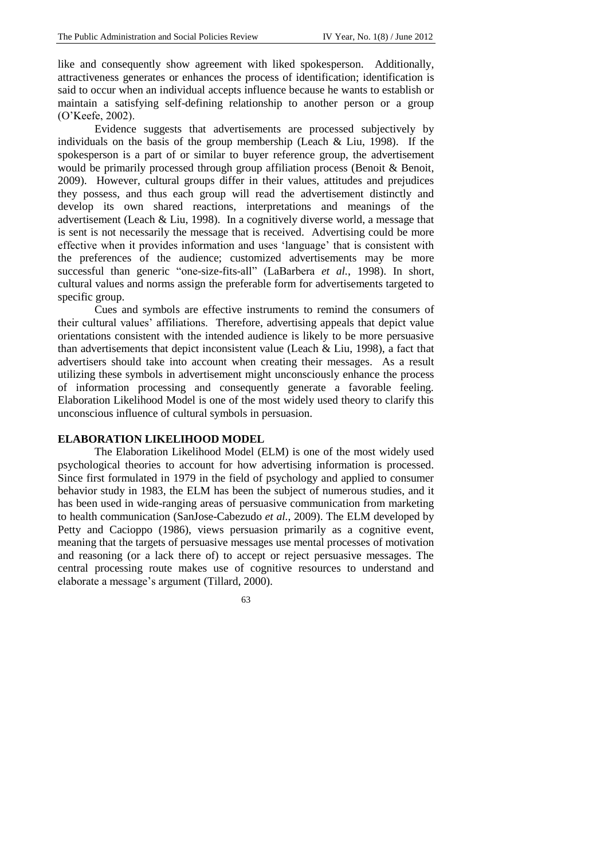like and consequently show agreement with liked spokesperson. Additionally, attractiveness generates or enhances the process of identification; identification is said to occur when an individual accepts influence because he wants to establish or maintain a satisfying self-defining relationship to another person or a group (O'Keefe, 2002).

Evidence suggests that advertisements are processed subjectively by individuals on the basis of the group membership (Leach & Liu, 1998). If the spokesperson is a part of or similar to buyer reference group, the advertisement would be primarily processed through group affiliation process (Benoit & Benoit, 2009). However, cultural groups differ in their values, attitudes and prejudices they possess, and thus each group will read the advertisement distinctly and develop its own shared reactions, interpretations and meanings of the advertisement (Leach & Liu, 1998). In a cognitively diverse world, a message that is sent is not necessarily the message that is received. Advertising could be more effective when it provides information and uses 'language' that is consistent with the preferences of the audience; customized advertisements may be more successful than generic "one-size-fits-all" (LaBarbera *et al.*, 1998). In short, cultural values and norms assign the preferable form for advertisements targeted to specific group.

Cues and symbols are effective instruments to remind the consumers of their cultural values' affiliations. Therefore, advertising appeals that depict value orientations consistent with the intended audience is likely to be more persuasive than advertisements that depict inconsistent value (Leach & Liu, 1998), a fact that advertisers should take into account when creating their messages. As a result utilizing these symbols in advertisement might unconsciously enhance the process of information processing and consequently generate a favorable feeling. Elaboration Likelihood Model is one of the most widely used theory to clarify this unconscious influence of cultural symbols in persuasion.

#### **ELABORATION LIKELIHOOD MODEL**

The Elaboration Likelihood Model (ELM) is one of the most widely used psychological theories to account for how advertising information is processed. Since first formulated in 1979 in the field of psychology and applied to consumer behavior study in 1983, the ELM has been the subject of numerous studies, and it has been used in wide-ranging areas of persuasive communication from marketing to health communication (SanJose-Cabezudo *et al.*, 2009). The ELM developed by Petty and Cacioppo (1986), views persuasion primarily as a cognitive event, meaning that the targets of persuasive messages use mental processes of motivation and reasoning (or a lack there of) to accept or reject persuasive messages. The central processing route makes use of cognitive resources to understand and elaborate a message's argument (Tillard, 2000).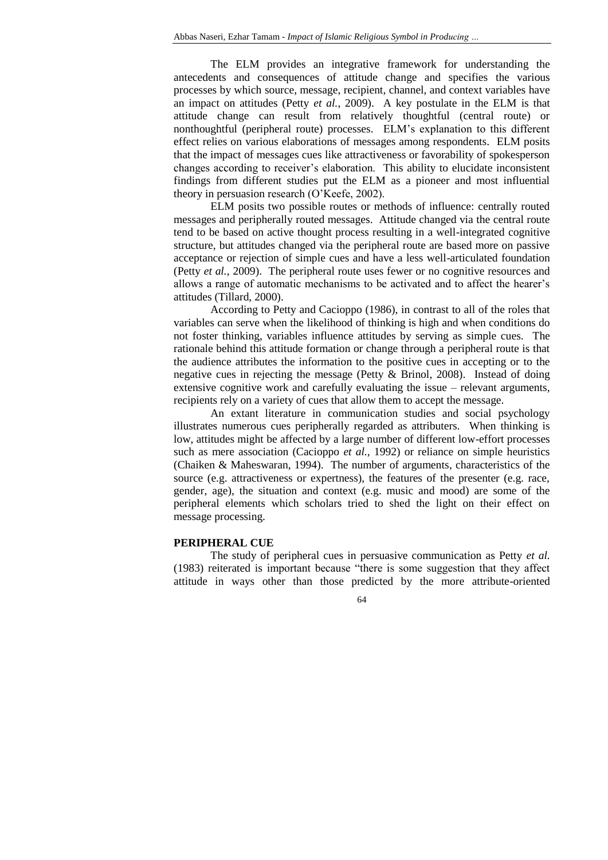The ELM provides an integrative framework for understanding the antecedents and consequences of attitude change and specifies the various processes by which source, message, recipient, channel, and context variables have an impact on attitudes (Petty *et al.*, 2009). A key postulate in the ELM is that attitude change can result from relatively thoughtful (central route) or nonthoughtful (peripheral route) processes. ELM's explanation to this different effect relies on various elaborations of messages among respondents. ELM posits that the impact of messages cues like attractiveness or favorability of spokesperson changes according to receiver's elaboration. This ability to elucidate inconsistent findings from different studies put the ELM as a pioneer and most influential theory in persuasion research (O'Keefe, 2002).

ELM posits two possible routes or methods of influence: centrally routed messages and peripherally routed messages. Attitude changed via the central route tend to be based on active thought process resulting in a well-integrated cognitive structure, but attitudes changed via the peripheral route are based more on passive acceptance or rejection of simple cues and have a less well-articulated foundation (Petty *et al.*, 2009). The peripheral route uses fewer or no cognitive resources and allows a range of automatic mechanisms to be activated and to affect the hearer's attitudes (Tillard, 2000).

According to Petty and Cacioppo (1986), in contrast to all of the roles that variables can serve when the likelihood of thinking is high and when conditions do not foster thinking, variables influence attitudes by serving as simple cues. The rationale behind this attitude formation or change through a peripheral route is that the audience attributes the information to the positive cues in accepting or to the negative cues in rejecting the message (Petty & Brinol, 2008). Instead of doing extensive cognitive work and carefully evaluating the issue – relevant arguments, recipients rely on a variety of cues that allow them to accept the message.

An extant literature in communication studies and social psychology illustrates numerous cues peripherally regarded as attributers. When thinking is low, attitudes might be affected by a large number of different low-effort processes such as mere association (Cacioppo *et al.*, 1992) or reliance on simple heuristics (Chaiken & Maheswaran, 1994). The number of arguments, characteristics of the source (e.g. attractiveness or expertness), the features of the presenter (e.g. race, gender, age), the situation and context (e.g. music and mood) are some of the peripheral elements which scholars tried to shed the light on their effect on message processing.

#### **PERIPHERAL CUE**

The study of peripheral cues in persuasive communication as Petty *et al.* (1983) reiterated is important because "there is some suggestion that they affect attitude in ways other than those predicted by the more attribute-oriented

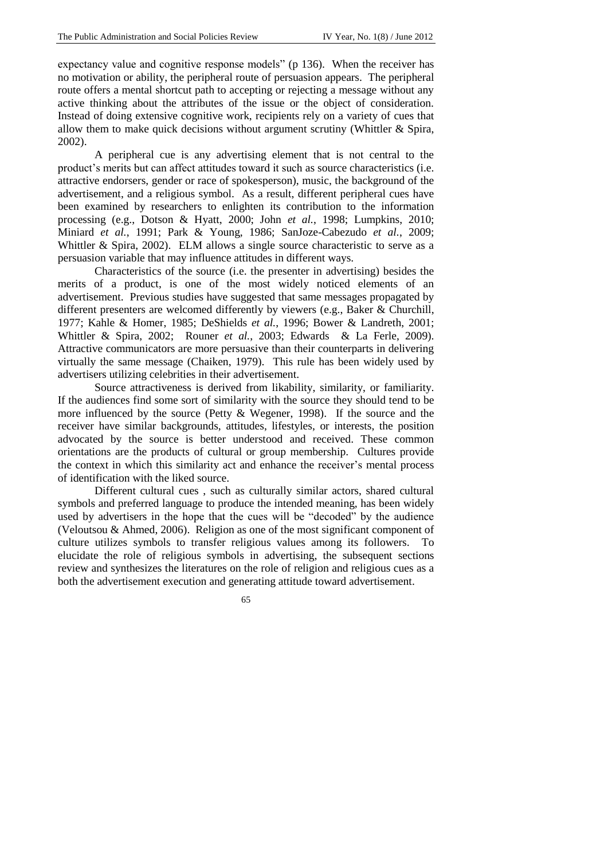expectancy value and cognitive response models" (p 136). When the receiver has no motivation or ability, the peripheral route of persuasion appears. The peripheral route offers a mental shortcut path to accepting or rejecting a message without any active thinking about the attributes of the issue or the object of consideration. Instead of doing extensive cognitive work, recipients rely on a variety of cues that allow them to make quick decisions without argument scrutiny (Whittler & Spira, 2002).

A peripheral cue is any advertising element that is not central to the product's merits but can affect attitudes toward it such as source characteristics (i.e. attractive endorsers, gender or race of spokesperson), music, the background of the advertisement, and a religious symbol. As a result, different peripheral cues have been examined by researchers to enlighten its contribution to the information processing (e.g., Dotson & Hyatt, 2000; John *et al.*, 1998; Lumpkins, 2010; Miniard *et al.*, 1991; Park & Young, 1986; SanJoze-Cabezudo *et al.*, 2009; Whittler & Spira, 2002). ELM allows a single source characteristic to serve as a persuasion variable that may influence attitudes in different ways.

Characteristics of the source (i.e. the presenter in advertising) besides the merits of a product, is one of the most widely noticed elements of an advertisement. Previous studies have suggested that same messages propagated by different presenters are welcomed differently by viewers (e.g., Baker & Churchill, 1977; Kahle & Homer, 1985; DeShields *et al.*, 1996; Bower & Landreth, 2001; Whittler & Spira, 2002; Rouner *et al.*, 2003; Edwards & La Ferle, 2009). Attractive communicators are more persuasive than their counterparts in delivering virtually the same message (Chaiken, 1979). This rule has been widely used by advertisers utilizing celebrities in their advertisement.

Source attractiveness is derived from likability, similarity, or familiarity. If the audiences find some sort of similarity with the source they should tend to be more influenced by the source (Petty & Wegener, 1998). If the source and the receiver have similar backgrounds, attitudes, lifestyles, or interests, the position advocated by the source is better understood and received. These common orientations are the products of cultural or group membership. Cultures provide the context in which this similarity act and enhance the receiver's mental process of identification with the liked source.

Different cultural cues , such as culturally similar actors, shared cultural symbols and preferred language to produce the intended meaning, has been widely used by advertisers in the hope that the cues will be "decoded" by the audience (Veloutsou & Ahmed, 2006). Religion as one of the most significant component of culture utilizes symbols to transfer religious values among its followers. To elucidate the role of religious symbols in advertising, the subsequent sections review and synthesizes the literatures on the role of religion and religious cues as a both the advertisement execution and generating attitude toward advertisement.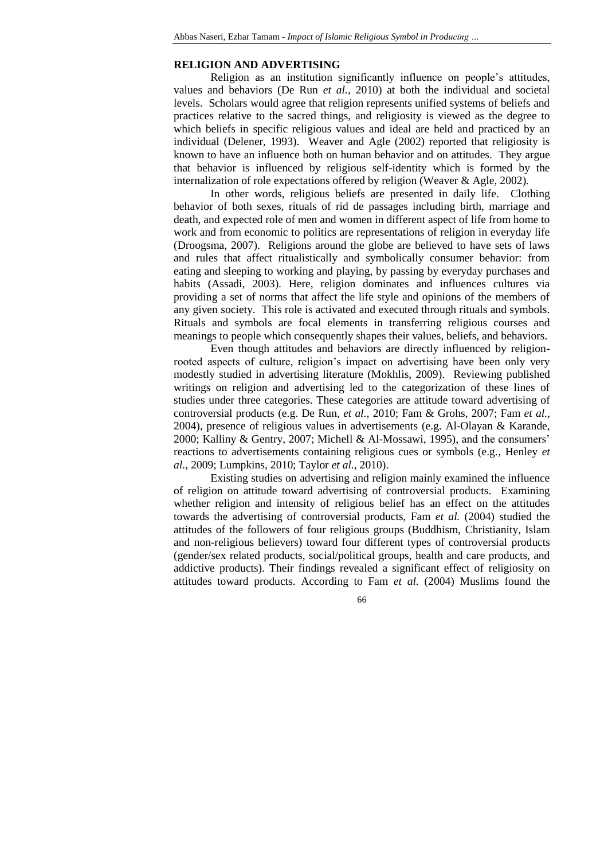#### **RELIGION AND ADVERTISING**

Religion as an institution significantly influence on people's attitudes, values and behaviors (De Run *et al.*, 2010) at both the individual and societal levels. Scholars would agree that religion represents unified systems of beliefs and practices relative to the sacred things, and religiosity is viewed as the degree to which beliefs in specific religious values and ideal are held and practiced by an individual (Delener, 1993). Weaver and Agle (2002) reported that religiosity is known to have an influence both on human behavior and on attitudes. They argue that behavior is influenced by religious self-identity which is formed by the internalization of role expectations offered by religion (Weaver & Agle, 2002).

In other words, religious beliefs are presented in daily life. Clothing behavior of both sexes, rituals of rid de passages including birth, marriage and death, and expected role of men and women in different aspect of life from home to work and from economic to politics are representations of religion in everyday life (Droogsma, 2007). Religions around the globe are believed to have sets of laws and rules that affect ritualistically and symbolically consumer behavior: from eating and sleeping to working and playing, by passing by everyday purchases and habits (Assadi, 2003). Here, religion dominates and influences cultures via providing a set of norms that affect the life style and opinions of the members of any given society. This role is activated and executed through rituals and symbols. Rituals and symbols are focal elements in transferring religious courses and meanings to people which consequently shapes their values, beliefs, and behaviors.

Even though attitudes and behaviors are directly influenced by religionrooted aspects of culture, religion's impact on advertising have been only very modestly studied in advertising literature (Mokhlis, 2009). Reviewing published writings on religion and advertising led to the categorization of these lines of studies under three categories. These categories are attitude toward advertising of controversial products (e.g. De Run, *et al.*, 2010; Fam & Grohs, 2007; Fam *et al.*, 2004), presence of religious values in advertisements (e.g. Al-Olayan & Karande, 2000; Kalliny & Gentry, 2007; Michell & Al-Mossawi, 1995), and the consumers' reactions to advertisements containing religious cues or symbols (e.g., Henley *et al.*, 2009; Lumpkins, 2010; Taylor *et al.*, 2010).

Existing studies on advertising and religion mainly examined the influence of religion on attitude toward advertising of controversial products. Examining whether religion and intensity of religious belief has an effect on the attitudes towards the advertising of controversial products, Fam *et al.* (2004) studied the attitudes of the followers of four religious groups (Buddhism, Christianity, Islam and non-religious believers) toward four different types of controversial products (gender/sex related products, social/political groups, health and care products, and addictive products). Their findings revealed a significant effect of religiosity on attitudes toward products. According to Fam *et al.* (2004) Muslims found the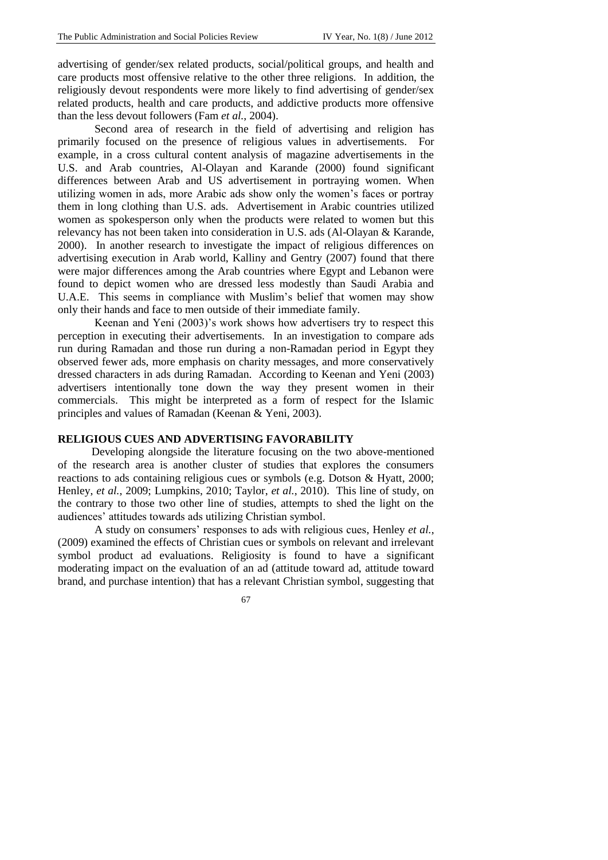advertising of gender/sex related products, social/political groups, and health and care products most offensive relative to the other three religions. In addition, the religiously devout respondents were more likely to find advertising of gender/sex related products, health and care products, and addictive products more offensive than the less devout followers (Fam *et al.*, 2004).

Second area of research in the field of advertising and religion has primarily focused on the presence of religious values in advertisements. For example, in a cross cultural content analysis of magazine advertisements in the U.S. and Arab countries, Al-Olayan and Karande (2000) found significant differences between Arab and US advertisement in portraying women. When utilizing women in ads, more Arabic ads show only the women's faces or portray them in long clothing than U.S. ads. Advertisement in Arabic countries utilized women as spokesperson only when the products were related to women but this relevancy has not been taken into consideration in U.S. ads (Al-Olayan & Karande, 2000). In another research to investigate the impact of religious differences on advertising execution in Arab world, Kalliny and Gentry (2007) found that there were major differences among the Arab countries where Egypt and Lebanon were found to depict women who are dressed less modestly than Saudi Arabia and U.A.E. This seems in compliance with Muslim's belief that women may show only their hands and face to men outside of their immediate family.

Keenan and Yeni (2003)'s work shows how advertisers try to respect this perception in executing their advertisements. In an investigation to compare ads run during Ramadan and those run during a non-Ramadan period in Egypt they observed fewer ads, more emphasis on charity messages, and more conservatively dressed characters in ads during Ramadan. According to Keenan and Yeni (2003) advertisers intentionally tone down the way they present women in their commercials. This might be interpreted as a form of respect for the Islamic principles and values of Ramadan (Keenan & Yeni, 2003).

#### **RELIGIOUS CUES AND ADVERTISING FAVORABILITY**

 Developing alongside the literature focusing on the two above-mentioned of the research area is another cluster of studies that explores the consumers reactions to ads containing religious cues or symbols (e.g. Dotson & Hyatt, 2000; Henley, *et al.*, 2009; Lumpkins, 2010; Taylor, *et al.*, 2010). This line of study, on the contrary to those two other line of studies, attempts to shed the light on the audiences' attitudes towards ads utilizing Christian symbol.

A study on consumers' responses to ads with religious cues, Henley *et al.*, (2009) examined the effects of Christian cues or symbols on relevant and irrelevant symbol product ad evaluations. Religiosity is found to have a significant moderating impact on the evaluation of an ad (attitude toward ad, attitude toward brand, and purchase intention) that has a relevant Christian symbol, suggesting that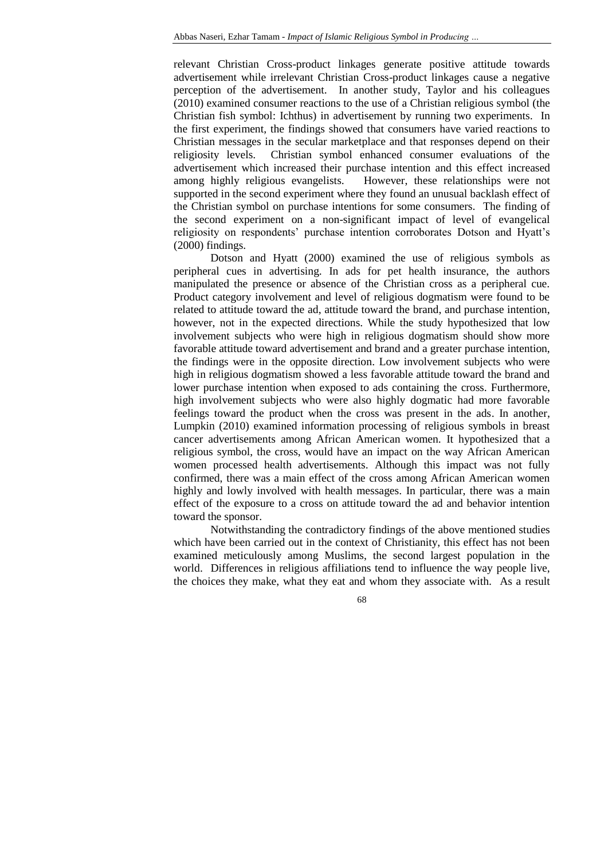relevant Christian Cross-product linkages generate positive attitude towards advertisement while irrelevant Christian Cross-product linkages cause a negative perception of the advertisement. In another study, Taylor and his colleagues (2010) examined consumer reactions to the use of a Christian religious symbol (the Christian fish symbol: Ichthus) in advertisement by running two experiments. In the first experiment, the findings showed that consumers have varied reactions to Christian messages in the secular marketplace and that responses depend on their religiosity levels. Christian symbol enhanced consumer evaluations of the advertisement which increased their purchase intention and this effect increased among highly religious evangelists. However, these relationships were not supported in the second experiment where they found an unusual backlash effect of the Christian symbol on purchase intentions for some consumers. The finding of the second experiment on a non-significant impact of level of evangelical religiosity on respondents' purchase intention corroborates Dotson and Hyatt's (2000) findings.

Dotson and Hyatt (2000) examined the use of religious symbols as peripheral cues in advertising. In ads for pet health insurance, the authors manipulated the presence or absence of the Christian cross as a peripheral cue. Product category involvement and level of religious dogmatism were found to be related to attitude toward the ad, attitude toward the brand, and purchase intention, however, not in the expected directions. While the study hypothesized that low involvement subjects who were high in religious dogmatism should show more favorable attitude toward advertisement and brand and a greater purchase intention, the findings were in the opposite direction. Low involvement subjects who were high in religious dogmatism showed a less favorable attitude toward the brand and lower purchase intention when exposed to ads containing the cross. Furthermore, high involvement subjects who were also highly dogmatic had more favorable feelings toward the product when the cross was present in the ads. In another, Lumpkin (2010) examined information processing of religious symbols in breast cancer advertisements among African American women. It hypothesized that a religious symbol, the cross, would have an impact on the way African American women processed health advertisements. Although this impact was not fully confirmed, there was a main effect of the cross among African American women highly and lowly involved with health messages. In particular, there was a main effect of the exposure to a cross on attitude toward the ad and behavior intention toward the sponsor.

Notwithstanding the contradictory findings of the above mentioned studies which have been carried out in the context of Christianity, this effect has not been examined meticulously among Muslims, the second largest population in the world. Differences in religious affiliations tend to influence the way people live, the choices they make, what they eat and whom they associate with. As a result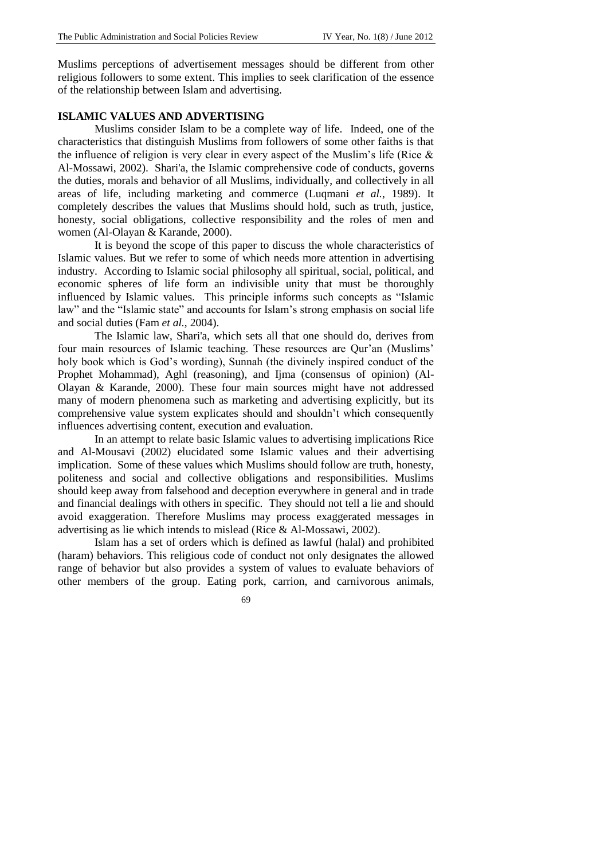Muslims perceptions of advertisement messages should be different from other religious followers to some extent. This implies to seek clarification of the essence of the relationship between Islam and advertising.

## **ISLAMIC VALUES AND ADVERTISING**

Muslims consider Islam to be a complete way of life. Indeed, one of the characteristics that distinguish Muslims from followers of some other faiths is that the influence of religion is very clear in every aspect of the Muslim's life (Rice & Al-Mossawi, 2002). Shari'a, the Islamic comprehensive code of conducts, governs the duties, morals and behavior of all Muslims, individually, and collectively in all areas of life, including marketing and commerce (Luqmani *et al.*, 1989). It completely describes the values that Muslims should hold, such as truth, justice, honesty, social obligations, collective responsibility and the roles of men and women (Al-Olayan & Karande, 2000).

It is beyond the scope of this paper to discuss the whole characteristics of Islamic values. But we refer to some of which needs more attention in advertising industry. According to Islamic social philosophy all spiritual, social, political, and economic spheres of life form an indivisible unity that must be thoroughly influenced by Islamic values. This principle informs such concepts as "Islamic law" and the "Islamic state" and accounts for Islam's strong emphasis on social life and social duties (Fam *et al.*, 2004).

The Islamic law, Shari'a, which sets all that one should do, derives from four main resources of Islamic teaching. These resources are Qur'an (Muslims' holy book which is God's wording), Sunnah (the divinely inspired conduct of the Prophet Mohammad), Aghl (reasoning), and Ijma (consensus of opinion) (Al-Olayan & Karande, 2000). These four main sources might have not addressed many of modern phenomena such as marketing and advertising explicitly, but its comprehensive value system explicates should and shouldn't which consequently influences advertising content, execution and evaluation.

In an attempt to relate basic Islamic values to advertising implications Rice and Al-Mousavi (2002) elucidated some Islamic values and their advertising implication. Some of these values which Muslims should follow are truth, honesty, politeness and social and collective obligations and responsibilities. Muslims should keep away from falsehood and deception everywhere in general and in trade and financial dealings with others in specific. They should not tell a lie and should avoid exaggeration. Therefore Muslims may process exaggerated messages in advertising as lie which intends to mislead (Rice & Al-Mossawi, 2002).

Islam has a set of orders which is defined as lawful (halal) and prohibited (haram) behaviors. This religious code of conduct not only designates the allowed range of behavior but also provides a system of values to evaluate behaviors of other members of the group. Eating pork, carrion, and carnivorous animals,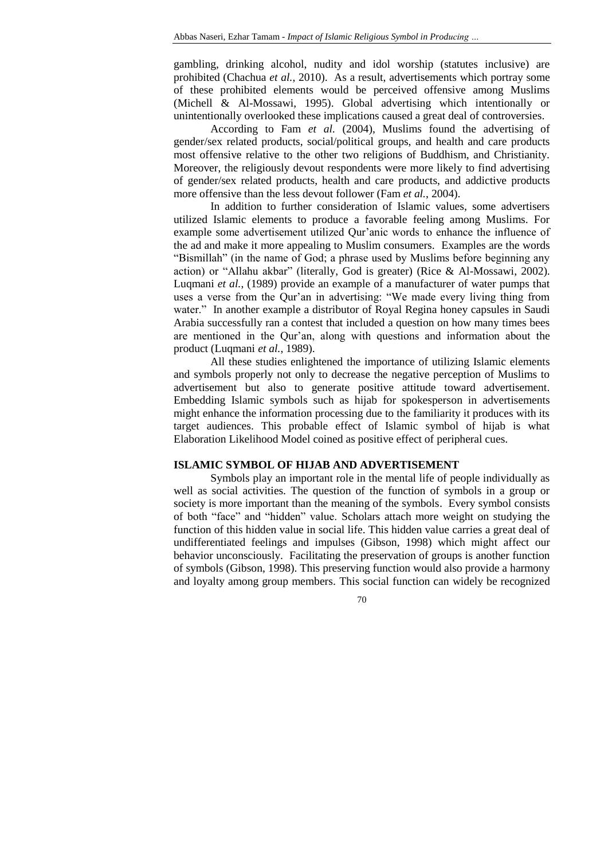gambling, drinking alcohol, nudity and idol worship (statutes inclusive) are prohibited (Chachua *et al.*, 2010). As a result, advertisements which portray some of these prohibited elements would be perceived offensive among Muslims (Michell & Al-Mossawi, 1995). Global advertising which intentionally or unintentionally overlooked these implications caused a great deal of controversies.

According to Fam *et al.* (2004), Muslims found the advertising of gender/sex related products, social/political groups, and health and care products most offensive relative to the other two religions of Buddhism, and Christianity. Moreover, the religiously devout respondents were more likely to find advertising of gender/sex related products, health and care products, and addictive products more offensive than the less devout follower (Fam *et al.*, 2004).

In addition to further consideration of Islamic values, some advertisers utilized Islamic elements to produce a favorable feeling among Muslims. For example some advertisement utilized Qur'anic words to enhance the influence of the ad and make it more appealing to Muslim consumers. Examples are the words "Bismillah" (in the name of God; a phrase used by Muslims before beginning any action) or "Allahu akbar" (literally, God is greater) (Rice & Al-Mossawi, 2002). Luqmani *et al.*, (1989) provide an example of a manufacturer of water pumps that uses a verse from the Qur'an in advertising: "We made every living thing from water." In another example a distributor of Royal Regina honey capsules in Saudi Arabia successfully ran a contest that included a question on how many times bees are mentioned in the Qur'an, along with questions and information about the product (Luqmani *et al.*, 1989).

All these studies enlightened the importance of utilizing Islamic elements and symbols properly not only to decrease the negative perception of Muslims to advertisement but also to generate positive attitude toward advertisement. Embedding Islamic symbols such as hijab for spokesperson in advertisements might enhance the information processing due to the familiarity it produces with its target audiences. This probable effect of Islamic symbol of hijab is what Elaboration Likelihood Model coined as positive effect of peripheral cues.

# **ISLAMIC SYMBOL OF HIJAB AND ADVERTISEMENT**

Symbols play an important role in the mental life of people individually as well as social activities. The question of the function of symbols in a group or society is more important than the meaning of the symbols. Every symbol consists of both "face" and "hidden" value. Scholars attach more weight on studying the function of this hidden value in social life. This hidden value carries a great deal of undifferentiated feelings and impulses (Gibson, 1998) which might affect our behavior unconsciously. Facilitating the preservation of groups is another function of symbols (Gibson, 1998). This preserving function would also provide a harmony and loyalty among group members. This social function can widely be recognized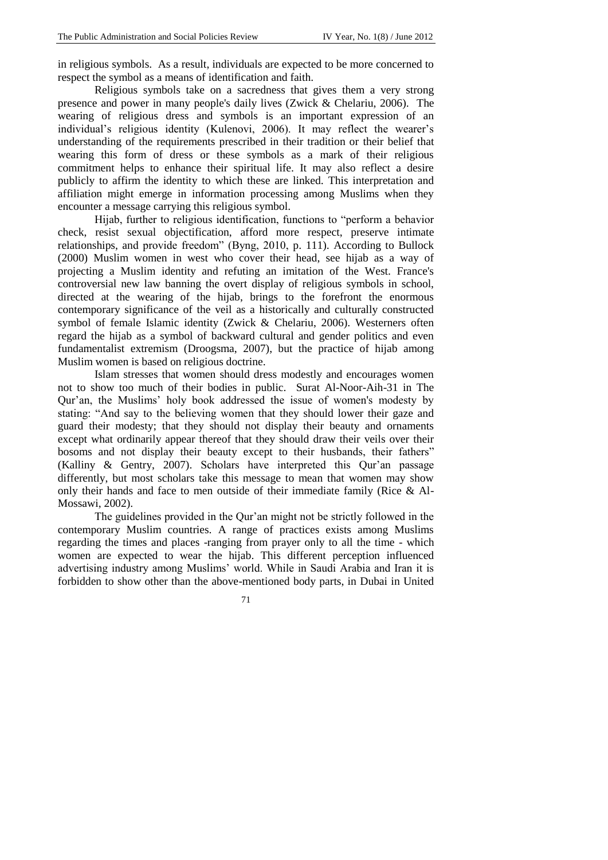in religious symbols. As a result, individuals are expected to be more concerned to respect the symbol as a means of identification and faith.

Religious symbols take on a sacredness that gives them a very strong presence and power in many people's daily lives (Zwick & Chelariu, 2006). The wearing of religious dress and symbols is an important expression of an individual's religious identity (Kulenovi, 2006). It may reflect the wearer's understanding of the requirements prescribed in their tradition or their belief that wearing this form of dress or these symbols as a mark of their religious commitment helps to enhance their spiritual life. It may also reflect a desire publicly to affirm the identity to which these are linked. This interpretation and affiliation might emerge in information processing among Muslims when they encounter a message carrying this religious symbol.

Hijab, further to religious identification, functions to "perform a behavior check, resist sexual objectification, afford more respect, preserve intimate relationships, and provide freedom" (Byng, 2010, p. 111). According to Bullock (2000) Muslim women in west who cover their head, see hijab as a way of projecting a Muslim identity and refuting an imitation of the West. France's controversial new law banning the overt display of religious symbols in school, directed at the wearing of the hijab, brings to the forefront the enormous contemporary significance of the veil as a historically and culturally constructed symbol of female Islamic identity (Zwick & Chelariu, 2006). Westerners often regard the hijab as a symbol of backward cultural and gender politics and even fundamentalist extremism (Droogsma, 2007), but the practice of hijab among Muslim women is based on religious doctrine.

Islam stresses that women should dress modestly and encourages women not to show too much of their bodies in public. Surat Al-Noor-Aih-31 in The Qur'an, the Muslims' holy book addressed the issue of women's modesty by stating: "And say to the believing women that they should lower their gaze and guard their modesty; that they should not display their beauty and ornaments except what ordinarily appear thereof that they should draw their veils over their bosoms and not display their beauty except to their husbands, their fathers" (Kalliny & Gentry, 2007). Scholars have interpreted this Qur'an passage differently, but most scholars take this message to mean that women may show only their hands and face to men outside of their immediate family (Rice & Al-Mossawi, 2002).

The guidelines provided in the Qur'an might not be strictly followed in the contemporary Muslim countries. A range of practices exists among Muslims regarding the times and places -ranging from prayer only to all the time - which women are expected to wear the hijab. This different perception influenced advertising industry among Muslims' world. While in Saudi Arabia and Iran it is forbidden to show other than the above-mentioned body parts, in Dubai in United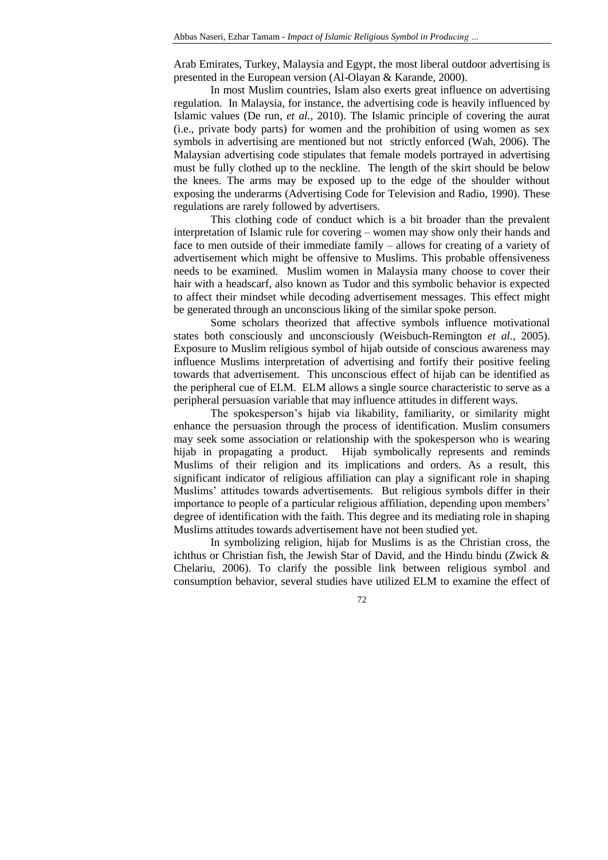Arab Emirates, Turkey, Malaysia and Egypt, the most liberal outdoor advertising is presented in the European version (Al-Olayan & Karande, 2000).

In most Muslim countries, Islam also exerts great influence on advertising regulation. In Malaysia, for instance, the advertising code is heavily influenced by Islamic values (De run, *et al.*, 2010). The Islamic principle of covering the aurat (i.e., private body parts) for women and the prohibition of using women as sex symbols in advertising are mentioned but not strictly enforced (Wah, 2006). The Malaysian advertising code stipulates that female models portrayed in advertising must be fully clothed up to the neckline. The length of the skirt should be below the knees. The arms may be exposed up to the edge of the shoulder without exposing the underarms (Advertising Code for Television and Radio, 1990). These regulations are rarely followed by advertisers.

This clothing code of conduct which is a bit broader than the prevalent interpretation of Islamic rule for covering – women may show only their hands and face to men outside of their immediate family – allows for creating of a variety of advertisement which might be offensive to Muslims. This probable offensiveness needs to be examined. Muslim women in Malaysia many choose to cover their hair with a headscarf, also known as Tudor and this symbolic behavior is expected to affect their mindset while decoding advertisement messages. This effect might be generated through an unconscious liking of the similar spoke person.

Some scholars theorized that affective symbols influence motivational states both consciously and unconsciously (Weisbuch-Remington *et al.*, 2005). Exposure to Muslim religious symbol of hijab outside of conscious awareness may influence Muslims interpretation of advertising and fortify their positive feeling towards that advertisement. This unconscious effect of hijab can be identified as the peripheral cue of ELM. ELM allows a single source characteristic to serve as a peripheral persuasion variable that may influence attitudes in different ways.

The spokesperson's hijab via likability, familiarity, or similarity might enhance the persuasion through the process of identification. Muslim consumers may seek some association or relationship with the spokesperson who is wearing hijab in propagating a product. Hijab symbolically represents and reminds Muslims of their religion and its implications and orders. As a result, this significant indicator of religious affiliation can play a significant role in shaping Muslims' attitudes towards advertisements. But religious symbols differ in their importance to people of a particular religious affiliation, depending upon members' degree of identification with the faith. This degree and its mediating role in shaping Muslims attitudes towards advertisement have not been studied yet.

In symbolizing religion, hijab for Muslims is as the Christian cross, the ichthus or Christian fish, the Jewish Star of David, and the Hindu bindu (Zwick & Chelariu, 2006). To clarify the possible link between religious symbol and consumption behavior, several studies have utilized ELM to examine the effect of

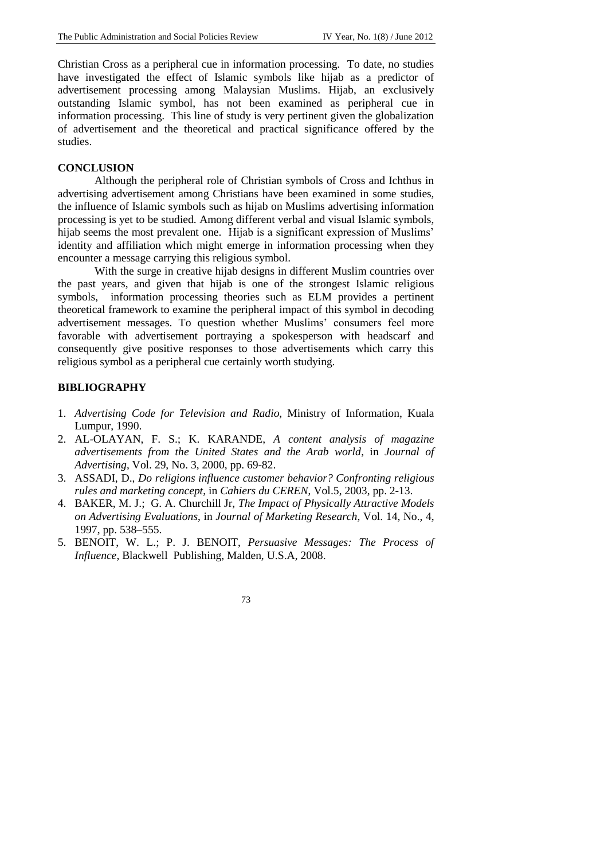Christian Cross as a peripheral cue in information processing. To date, no studies have investigated the effect of Islamic symbols like hijab as a predictor of advertisement processing among Malaysian Muslims. Hijab, an exclusively outstanding Islamic symbol, has not been examined as peripheral cue in information processing. This line of study is very pertinent given the globalization of advertisement and the theoretical and practical significance offered by the studies.

### **CONCLUSION**

Although the peripheral role of Christian symbols of Cross and Ichthus in advertising advertisement among Christians have been examined in some studies, the influence of Islamic symbols such as hijab on Muslims advertising information processing is yet to be studied. Among different verbal and visual Islamic symbols, hijab seems the most prevalent one. Hijab is a significant expression of Muslims' identity and affiliation which might emerge in information processing when they encounter a message carrying this religious symbol.

With the surge in creative hijab designs in different Muslim countries over the past years, and given that hijab is one of the strongest Islamic religious symbols, information processing theories such as ELM provides a pertinent theoretical framework to examine the peripheral impact of this symbol in decoding advertisement messages. To question whether Muslims' consumers feel more favorable with advertisement portraying a spokesperson with headscarf and consequently give positive responses to those advertisements which carry this religious symbol as a peripheral cue certainly worth studying.

### **BIBLIOGRAPHY**

- 1. *Advertising Code for Television and Radio*, Ministry of Information, Kuala Lumpur, 1990.
- 2. AL-OLAYAN, F. S.; K. KARANDE, *A content analysis of magazine advertisements from the United States and the Arab world*, in *Journal of Advertising*, Vol. 29, No. 3, 2000, pp. 69-82.
- 3. ASSADI, D., *Do religions influence customer behavior? Confronting religious rules and marketing concept*, in *Cahiers du CEREN*, Vol.5, 2003, pp. 2-13.
- 4. BAKER, M. J.; G. A. Churchill Jr, *The Impact of Physically Attractive Models on Advertising Evaluations*, in *Journal of Marketing Research*, Vol. 14, No., 4*,* 1997, pp. 538–555.
- 5. BENOIT, W. L.; P. J. BENOIT, *Persuasive Messages: The Process of Influence*, Blackwell Publishing, Malden, U.S.A, 2008.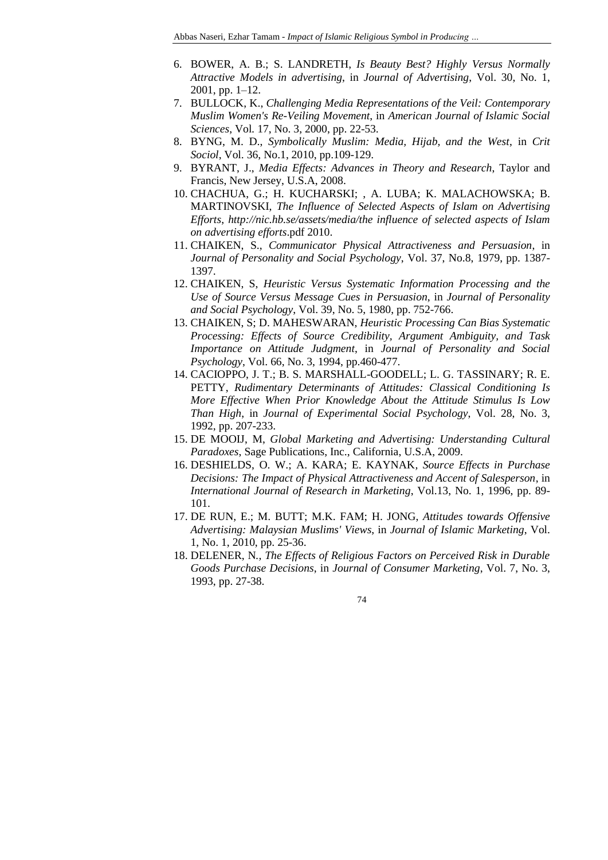- 6. BOWER, A. B.; S. LANDRETH, *Is Beauty Best? Highly Versus Normally Attractive Models in advertising*, in *Journal of Advertising*, Vol. 30, No. 1, 2001, pp. 1–12.
- 7. BULLOCK, K., *Challenging Media Representations of the Veil: Contemporary Muslim Women's Re-Veiling Movement*, in *American Journal of Islamic Social Sciences*, Vol*.* 17, No. 3, 2000, pp. 22-53.
- 8. BYNG, M. D., *Symbolically Muslim: Media, Hijab, and the West*, in *Crit Sociol*, Vol. 36, No.1, 2010, pp.109-129.
- 9. BYRANT, J., *Media Effects: Advances in Theory and Research*, Taylor and Francis, New Jersey, U.S.A, 2008.
- 10. CHACHUA, G.; H. KUCHARSKI; , A. LUBA; K. MALACHOWSKA; B. MARTINOVSKI, *The Influence of Selected Aspects of Islam on Advertising Efforts*, *[http://nic.hb.se/assets/media/the influence of selected aspects of Islam](http://nic.hb.se/assets/media/the%20influence%20of%20selected%20aspects%20of%20Islam%20on)  [on](http://nic.hb.se/assets/media/the%20influence%20of%20selected%20aspects%20of%20Islam%20on) advertising efforts*.pdf 2010.
- 11. CHAIKEN, S., *Communicator Physical Attractiveness and Persuasion*, in *Journal of Personality and Social Psychology*, Vol. 37, No.8, 1979, pp. 1387- 1397.
- 12. CHAIKEN, S, *Heuristic Versus Systematic Information Processing and the Use of Source Versus Message Cues in Persuasion*, in *Journal of Personality and Social Psychology*, Vol. 39, No. 5, 1980, pp. 752-766.
- 13. CHAIKEN, S; D. MAHESWARAN, *Heuristic Processing Can Bias Systematic Processing: Effects of Source Credibility, Argument Ambiguity, and Task Importance on Attitude Judgment*, in *Journal of Personality and Social Psychology*, Vol. 66, No. 3, 1994, pp.460-477.
- 14. CACIOPPO, J. T.; B. S. MARSHALL-GOODELL; L. G. TASSINARY; R. E. PETTY, *Rudimentary Determinants of Attitudes: Classical Conditioning Is More Effective When Prior Knowledge About the Attitude Stimulus Is Low Than High*, in *Journal of Experimental Social Psychology*, Vol. 28, No. 3, 1992, pp. 207-233.
- 15. DE MOOIJ, M, *Global Marketing and Advertising: Understanding Cultural Paradoxes*, Sage Publications, Inc., California, U.S.A, 2009.
- 16. DESHIELDS, O. W.; A. KARA; E. KAYNAK*, Source Effects in Purchase Decisions: The Impact of Physical Attractiveness and Accent of Salesperson*, in *International Journal of Research in Marketing*, Vol.13, No. 1, 1996, pp. 89- 101.
- 17. DE RUN, E.; M. BUTT; M.K. FAM; H. JONG, *Attitudes towards Offensive Advertising: Malaysian Muslims' Views*, in *Journal of Islamic Marketing*, Vol. 1, No. 1, 2010, pp. 25-36.
- 18. DELENER, N*., The Effects of Religious Factors on Perceived Risk in Durable Goods Purchase Decisions*, in *Journal of Consumer Marketing*, Vol. 7, No. 3, 1993, pp. 27-38.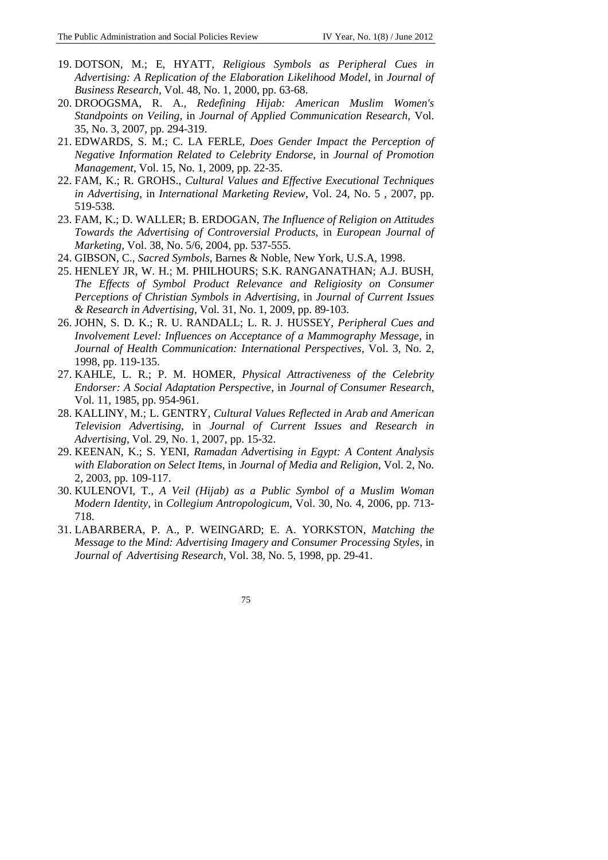- 19. DOTSON, M.; E, HYATT, *Religious Symbols as Peripheral Cues in Advertising: A Replication of the Elaboration Likelihood Model*, in *Journal of Business Research*, Vol. 48, No. 1, 2000, pp. 63-68.
- 20. DROOGSMA, R. A., *Redefining Hijab: American Muslim Women's Standpoints on Veiling*, in *Journal of Applied Communication Research,* Vol. 35, No. 3, 2007, pp. 294-319.
- 21. EDWARDS, S. M.; C. LA FERLE, *Does Gender Impact the Perception of Negative Information Related to Celebrity Endorse*, in *Journal of Promotion Management*, Vol. 15, No. 1, 2009, pp. 22-35.
- 22. FAM, K.; R. GROHS., *Cultural Values and Effective Executional Techniques in Advertising*, in *International Marketing Review*, Vol. 24, No. 5 , 2007, pp. 519-538.
- 23. FAM, K.; D. WALLER; B. ERDOGAN, *The Influence of Religion on Attitudes Towards the Advertising of Controversial Products*, in *European Journal of Marketing*, Vol. 38, No. 5/6, 2004, pp. 537-555.
- 24. GIBSON, C., *Sacred Symbols*, Barnes & Noble, New York, U.S.A, 1998.
- 25. HENLEY JR, W. H.; M. PHILHOURS; S.K. RANGANATHAN; A.J. BUSH, *The Effects of Symbol Product Relevance and Religiosity on Consumer Perceptions of Christian Symbols in Advertising*, in *Journal of Current Issues & Research in Advertising*, Vol. 31, No. 1, 2009, pp. 89-103.
- 26. JOHN, S. D. K.; R. U. RANDALL; L. R. J. HUSSEY, *Peripheral Cues and Involvement Level: Influences on Acceptance of a Mammography Message*, in *Journal of Health Communication: International Perspectives*, Vol. 3, No. 2, 1998, pp. 119-135.
- 27. KAHLE, L. R.; P. M. HOMER, *Physical Attractiveness of the Celebrity Endorser: A Social Adaptation Perspective*, in *Journal of Consumer Research*, Vol. 11, 1985, pp. 954-961.
- 28. KALLINY, M.; L. GENTRY, *Cultural Values Reflected in Arab and American Television Advertising*, in *Journal of Current Issues and Research in Advertising*, Vol. 29, No. 1, 2007, pp. 15-32.
- 29. KEENAN, K.; S. YENI, *Ramadan Advertising in Egypt: A Content Analysis with Elaboration on Select Items*, in *Journal of Media and Religion*, Vol. 2, No*.*  2, 2003, pp. 109-117.
- 30. KULENOVI, T., *A Veil (Hijab) as a Public Symbol of a Muslim Woman Modern Identity*, in *Collegium Antropologicum*, Vol. 30, No*.* 4, 2006, pp. 713- 718.
- 31. LABARBERA, P. A., P. WEINGARD; E. A. YORKSTON, *Matching the Message to the Mind: Advertising Imagery and Consumer Processing Styles*, in *Journal of Advertising Research*, Vol. 38, No. 5, 1998, pp. 29-41.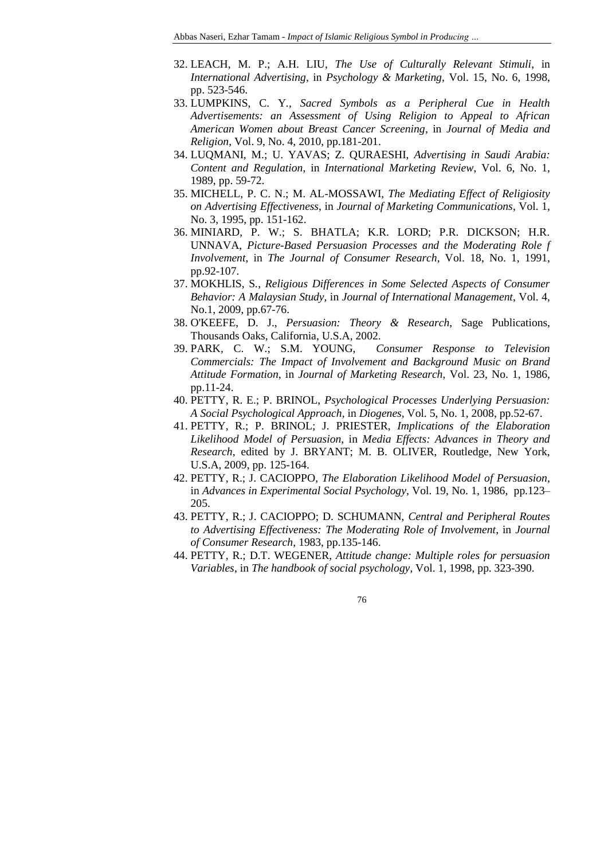- 32. LEACH, M. P.; A.H. LIU, *The Use of Culturally Relevant Stimuli*, in *International Advertising*, in *Psychology & Marketing*, Vol. 15, No. 6, 1998, pp. 523-546.
- 33. LUMPKINS, C. Y*., Sacred Symbols as a Peripheral Cue in Health Advertisements: an Assessment of Using Religion to Appeal to African American Women about Breast Cancer Screening*, in *Journal of Media and Religion*, Vol. 9, No. 4, 2010, pp.181-201.
- 34. LUQMANI, M.; U. YAVAS; Z. QURAESHI, *Advertising in Saudi Arabia: Content and Regulation*, in *International Marketing Review*, Vol. 6, No. 1, 1989, pp. 59-72.
- 35. MICHELL, P. C. N.; M. AL-MOSSAWI, *The Mediating Effect of Religiosity on Advertising Effectiveness*, in *Journal of Marketing Communications*, Vol. 1, No. 3, 1995, pp. 151-162.
- 36. MINIARD, P. W.; S. BHATLA; K.R. LORD; P.R. DICKSON; H.R. UNNAVA, *Picture-Based Persuasion Processes and the Moderating Role f Involvement*, in *The Journal of Consumer Research*, Vol. 18, No. 1, 1991, pp.92-107.
- 37. MOKHLIS, S*.*, *Religious Differences in Some Selected Aspects of Consumer Behavior: A Malaysian Study*, in *Journal of International Management*, Vol. 4, No.1, 2009, pp.67-76.
- 38. O'KEEFE, D. J., *Persuasion: Theory & Research*, Sage Publications, Thousands Oaks, California, U.S.A, 2002.
- 39. PARK, C. W.; S.M. YOUNG, *Consumer Response to Television Commercials: The Impact of Involvement and Background Music on Brand Attitude Formation*, in *Journal of Marketing Research*, Vol. 23, No. 1, 1986, pp.11-24.
- 40. PETTY, R. E.; P. BRINOL, *Psychological Processes Underlying Persuasion: A Social Psychological Approach*, in *Diogenes*, Vol. 5, No. 1, 2008, pp.52-67.
- 41. PETTY, R.; P. BRINOL; J. PRIESTER, *Implications of the Elaboration Likelihood Model of Persuasion*, in *Media Effects: Advances in Theory and Research*, edited by J. BRYANT; M. B. OLIVER, Routledge, New York, U.S.A, 2009, pp. 125-164.
- 42. PETTY, R.; J. CACIOPPO, *The Elaboration Likelihood Model of Persuasion*, in *Advances in Experimental Social Psychology*, Vol. 19, No. 1, 1986, pp.123– 205.
- 43. PETTY, R.; J. CACIOPPO; D. SCHUMANN, *Central and Peripheral Routes to Advertising Effectiveness: The Moderating Role of Involvement*, in *Journal of Consumer Research*, 1983, pp.135-146.
- 44. PETTY, R.; D.T. WEGENER, *Attitude change: Multiple roles for persuasion Variables*, in *The handbook of social psychology*, Vol. 1, 1998, pp. 323-390.